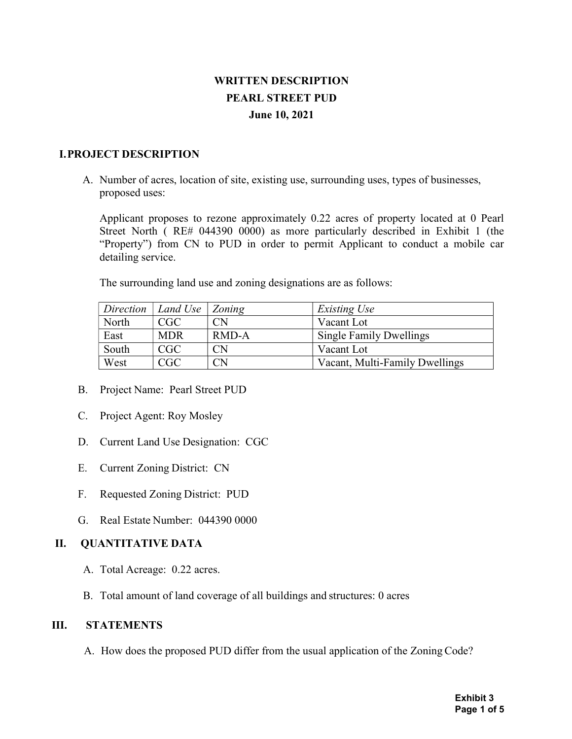# WRITTEN DESCRIPTION PEARL STREET PUD June 10, 2021

#### I.PROJECT DESCRIPTION

A. Number of acres, location of site, existing use, surrounding uses, types of businesses, proposed uses:

Applicant proposes to rezone approximately 0.22 acres of property located at 0 Pearl Street North ( RE# 044390 0000) as more particularly described in Exhibit 1 (the "Property") from CN to PUD in order to permit Applicant to conduct a mobile car detailing service.

The surrounding land use and zoning designations are as follows:

| $Direction \mid$ | Land Use   Zoning |          | Existing Use                   |
|------------------|-------------------|----------|--------------------------------|
| North            | CGC               | CΝ       | Vacant Lot                     |
| East             | <b>MDR</b>        | RMD-A    | <b>Single Family Dwellings</b> |
| South            | CGC               | CN       | Vacant Lot                     |
| West             | CGC               | $\cap$ N | Vacant, Multi-Family Dwellings |

- B. Project Name: Pearl Street PUD
- C. Project Agent: Roy Mosley
- D. Current Land Use Designation: CGC
- E. Current Zoning District: CN
- F. Requested Zoning District: PUD
- G. Real Estate Number: 044390 0000

### II. QUANTITATIVE DATA

- A. Total Acreage: 0.22 acres.
- B. Total amount of land coverage of all buildings and structures: 0 acres

### III. STATEMENTS

A. How does the proposed PUD differ from the usual application of the Zoning Code?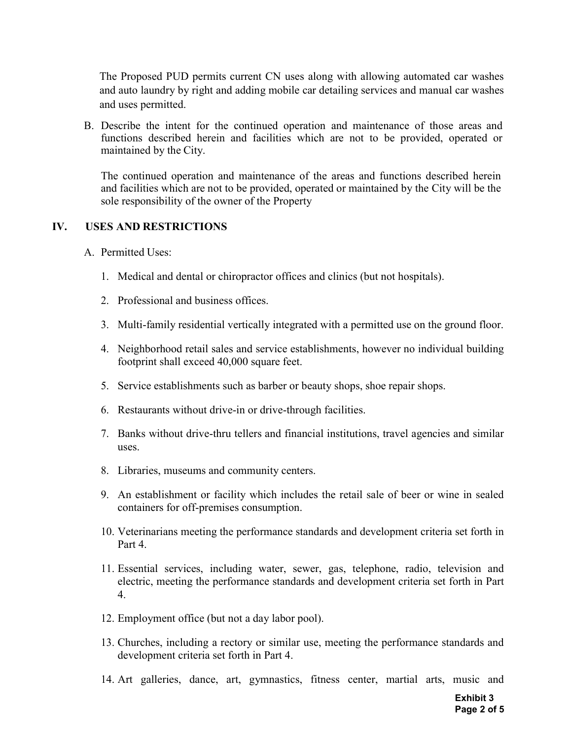The Proposed PUD permits current CN uses along with allowing automated car washes and auto laundry by right and adding mobile car detailing services and manual car washes and uses permitted.

B. Describe the intent for the continued operation and maintenance of those areas and functions described herein and facilities which are not to be provided, operated or maintained by the City.

The continued operation and maintenance of the areas and functions described herein and facilities which are not to be provided, operated or maintained by the City will be the sole responsibility of the owner of the Property

#### IV. USES AND RESTRICTIONS

- A. Permitted Uses:
	- 1. Medical and dental or chiropractor offices and clinics (but not hospitals).
	- 2. Professional and business offices.
	- 3. Multi-family residential vertically integrated with a permitted use on the ground floor.
	- 4. Neighborhood retail sales and service establishments, however no individual building footprint shall exceed 40,000 square feet.
	- 5. Service establishments such as barber or beauty shops, shoe repair shops.
	- 6. Restaurants without drive-in or drive-through facilities.
	- 7. Banks without drive-thru tellers and financial institutions, travel agencies and similar uses.
	- 8. Libraries, museums and community centers.
	- 9. An establishment or facility which includes the retail sale of beer or wine in sealed containers for off-premises consumption.
	- 10. Veterinarians meeting the performance standards and development criteria set forth in Part 4.
	- 11. Essential services, including water, sewer, gas, telephone, radio, television and electric, meeting the performance standards and development criteria set forth in Part 4.
	- 12. Employment office (but not a day labor pool).
	- 13. Churches, including a rectory or similar use, meeting the performance standards and development criteria set forth in Part 4.
	- 14. Art galleries, dance, art, gymnastics, fitness center, martial arts, music and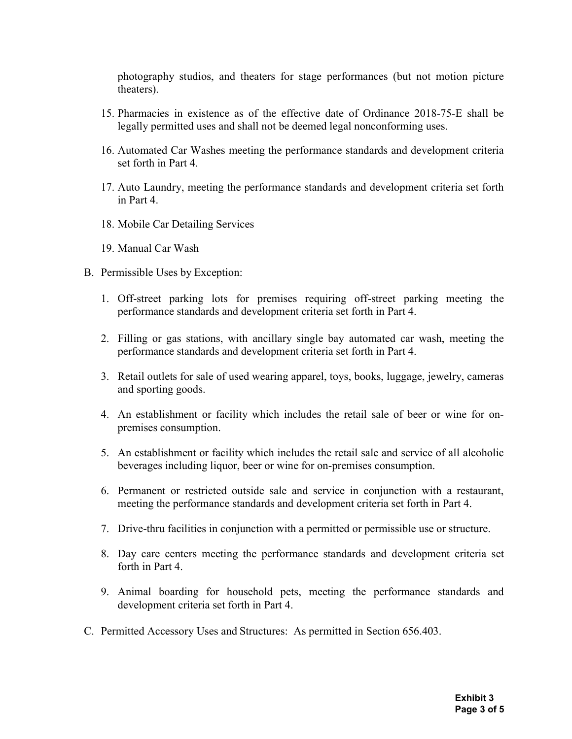photography studios, and theaters for stage performances (but not motion picture theaters).

- 15. Pharmacies in existence as of the effective date of Ordinance 2018-75-E shall be legally permitted uses and shall not be deemed legal nonconforming uses.
- 16. Automated Car Washes meeting the performance standards and development criteria set forth in Part 4.
- 17. Auto Laundry, meeting the performance standards and development criteria set forth in Part 4.
- 18. Mobile Car Detailing Services
- 19. Manual Car Wash
- B. Permissible Uses by Exception:
	- 1. Off-street parking lots for premises requiring off-street parking meeting the performance standards and development criteria set forth in Part 4.
	- 2. Filling or gas stations, with ancillary single bay automated car wash, meeting the performance standards and development criteria set forth in Part 4.
	- 3. Retail outlets for sale of used wearing apparel, toys, books, luggage, jewelry, cameras and sporting goods.
	- 4. An establishment or facility which includes the retail sale of beer or wine for onpremises consumption.
	- 5. An establishment or facility which includes the retail sale and service of all alcoholic beverages including liquor, beer or wine for on-premises consumption.
	- 6. Permanent or restricted outside sale and service in conjunction with a restaurant, meeting the performance standards and development criteria set forth in Part 4.
	- 7. Drive-thru facilities in conjunction with a permitted or permissible use or structure.
	- 8. Day care centers meeting the performance standards and development criteria set forth in Part 4.
	- 9. Animal boarding for household pets, meeting the performance standards and development criteria set forth in Part 4.
- C. Permitted Accessory Uses and Structures: As permitted in Section 656.403.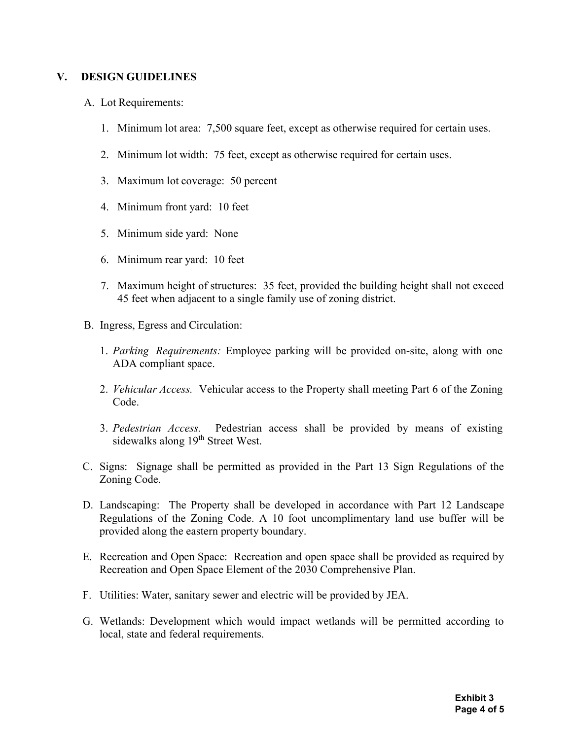#### V. DESIGN GUIDELINES

- A. Lot Requirements:
	- 1. Minimum lot area: 7,500 square feet, except as otherwise required for certain uses.
	- 2. Minimum lot width: 75 feet, except as otherwise required for certain uses.
	- 3. Maximum lot coverage: 50 percent
	- 4. Minimum front yard: 10 feet
	- 5. Minimum side yard: None
	- 6. Minimum rear yard: 10 feet
	- 7. Maximum height of structures: 35 feet, provided the building height shall not exceed 45 feet when adjacent to a single family use of zoning district.
- B. Ingress, Egress and Circulation:
	- 1. Parking Requirements: Employee parking will be provided on-site, along with one ADA compliant space.
	- 2. Vehicular Access. Vehicular access to the Property shall meeting Part 6 of the Zoning Code.
	- 3. Pedestrian Access. Pedestrian access shall be provided by means of existing sidewalks along 19<sup>th</sup> Street West.
- C. Signs: Signage shall be permitted as provided in the Part 13 Sign Regulations of the Zoning Code.
- D. Landscaping: The Property shall be developed in accordance with Part 12 Landscape Regulations of the Zoning Code. A 10 foot uncomplimentary land use buffer will be provided along the eastern property boundary.
- E. Recreation and Open Space: Recreation and open space shall be provided as required by Recreation and Open Space Element of the 2030 Comprehensive Plan.
- F. Utilities: Water, sanitary sewer and electric will be provided by JEA.
- G. Wetlands: Development which would impact wetlands will be permitted according to local, state and federal requirements.